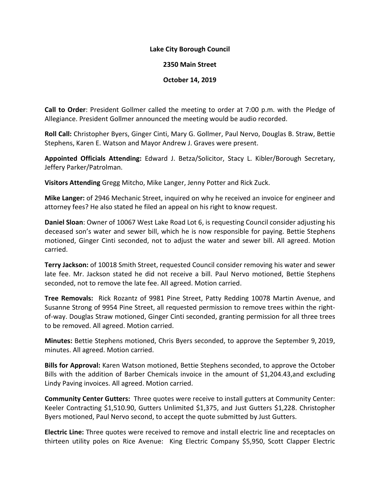## **Lake City Borough Council**

## **2350 Main Street**

## **October 14, 2019**

**Call to Order**: President Gollmer called the meeting to order at 7:00 p.m. with the Pledge of Allegiance. President Gollmer announced the meeting would be audio recorded.

**Roll Call:** Christopher Byers, Ginger Cinti, Mary G. Gollmer, Paul Nervo, Douglas B. Straw, Bettie Stephens, Karen E. Watson and Mayor Andrew J. Graves were present.

**Appointed Officials Attending:** Edward J. Betza/Solicitor, Stacy L. Kibler/Borough Secretary, Jeffery Parker/Patrolman.

**Visitors Attending** Gregg Mitcho, Mike Langer, Jenny Potter and Rick Zuck.

**Mike Langer:** of 2946 Mechanic Street, inquired on why he received an invoice for engineer and attorney fees? He also stated he filed an appeal on his right to know request.

**Daniel Sloan**: Owner of 10067 West Lake Road Lot 6, is requesting Council consider adjusting his deceased son's water and sewer bill, which he is now responsible for paying. Bettie Stephens motioned, Ginger Cinti seconded, not to adjust the water and sewer bill. All agreed. Motion carried.

**Terry Jackson:** of 10018 Smith Street, requested Council consider removing his water and sewer late fee. Mr. Jackson stated he did not receive a bill. Paul Nervo motioned, Bettie Stephens seconded, not to remove the late fee. All agreed. Motion carried.

**Tree Removals:** Rick Rozantz of 9981 Pine Street, Patty Redding 10078 Martin Avenue, and Susanne Strong of 9954 Pine Street, all requested permission to remove trees within the rightof-way. Douglas Straw motioned, Ginger Cinti seconded, granting permission for all three trees to be removed. All agreed. Motion carried.

**Minutes:** Bettie Stephens motioned, Chris Byers seconded, to approve the September 9, 2019, minutes. All agreed. Motion carried.

**Bills for Approval:** Karen Watson motioned, Bettie Stephens seconded, to approve the October Bills with the addition of Barber Chemicals invoice in the amount of \$1,204.43,and excluding Lindy Paving invoices. All agreed. Motion carried.

**Community Center Gutters:** Three quotes were receive to install gutters at Community Center: Keeler Contracting \$1,510.90, Gutters Unlimited \$1,375, and Just Gutters \$1,228. Christopher Byers motioned, Paul Nervo second, to accept the quote submitted by Just Gutters.

**Electric Line:** Three quotes were received to remove and install electric line and receptacles on thirteen utility poles on Rice Avenue: King Electric Company \$5,950, Scott Clapper Electric